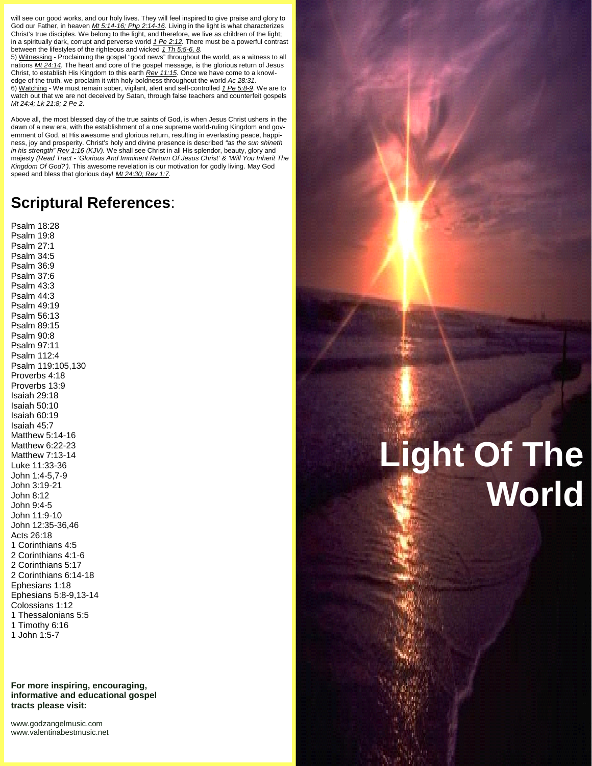will see our good works, and our holy lives. They will feel inspired to give praise and glory to God our Father, in heaven *Mt 5:14-16; Php 2:14-16.* Living in the light is what characterizes Christ's true disciples. We belong to the light, and therefore, we live as children of the light; in a spiritually dark, corrupt and perverse world *1 Pe 2:12.* There must be a powerful contrast between the lifestyles of the righteous and wicked *1 Th 5:5-6, 8.*

5) Witnessing - Proclaiming the gospel "good news" throughout the world, as a witness to all nations *Mt 24:14.* The heart and core of the gospel message, is the glorious return of Jesus Christ, to establish His Kingdom to this earth *Rev 11:15.* Once we have come to a knowledge of the truth, we proclaim it with holy boldness throughout the world *Ac 28:31.* 6) Watching - We must remain sober, vigilant, alert and self-controlled *1 Pe 5:8-9*. We are to watch out that we are not deceived by Satan, through false teachers and counterfeit gospels *Mt 24:4; Lk 21:8; 2 Pe 2.*

Above all, the most blessed day of the true saints of God, is when Jesus Christ ushers in the dawn of a new era, with the establishment of a one supreme world-ruling Kingdom and gov ernment of God, at His awesome and glorious return, resulting in everlasting peace, happiness, joy and prosperity. Christ's holy and divine presence is described *"as the sun shineth in his strength" Rev 1:16 (KJV).* We shall see Christ in all His splendor, beauty, glory and majesty *(Read Tract - 'Glorious And Imminent Return Of Jesus Christ' & 'Will You Inherit The Kingdom Of God?').* This awesome revelation is our motivation for godly living. May God speed and bless that glorious day! *Mt 24:30; Rev 1:7.*

# **Scriptural References**:

Psalm 18:28 Psalm 19:8 Psalm 27:1 Psalm 34:5 Psalm 36:9 Psalm 37:6 Psalm 43:3 Psalm 44:3 Psalm 49:19 Psalm 56:13 Psalm 89:15 Psalm 90:8 Psalm 97:11 Psalm 112:4 Psalm 119:105,130 Proverbs 4:18 Proverbs 13:9 Isaiah 29:18 Isaiah 50:10 Isaiah 60:19 Isaiah 45:7 Matthew 5:14-16 Matthew 6:22-23 Matthew 7:13-14 Luke 11:33-36 John 1:4-5,7-9 John 3:19-21 John 8:12 John 9:4-5 John 11:9-10 John 12:35-36,46 Acts 26:18 1 Corinthians 4:5 2 Corinthians 4:1-6 2 Corinthians 5:17 2 Corinthians 6:14-18 Ephesians 1:18 Ephesians 5:8-9,13-14 Colossians 1:12 1 Thessalonians 5:5 1 Timothy 6:16 1 John 1:5-7

**For more inspiring, encouraging, informative and educational gospel tracts please visit:**

<www.godzangelmusic.com> <www.valentinabestmusic.net>

# **Light Of The World**